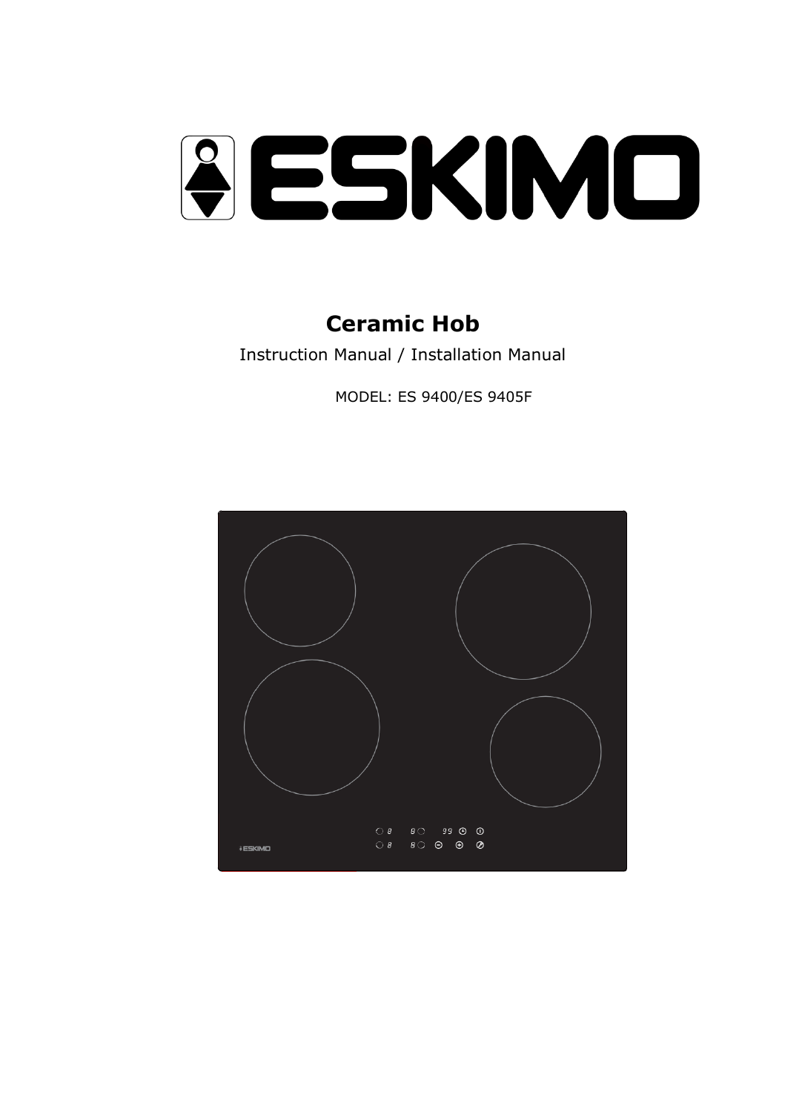

## **Ceramic Hob**

Instruction Manual / Installation Manual

MODEL: ES 9400/ES 9405F

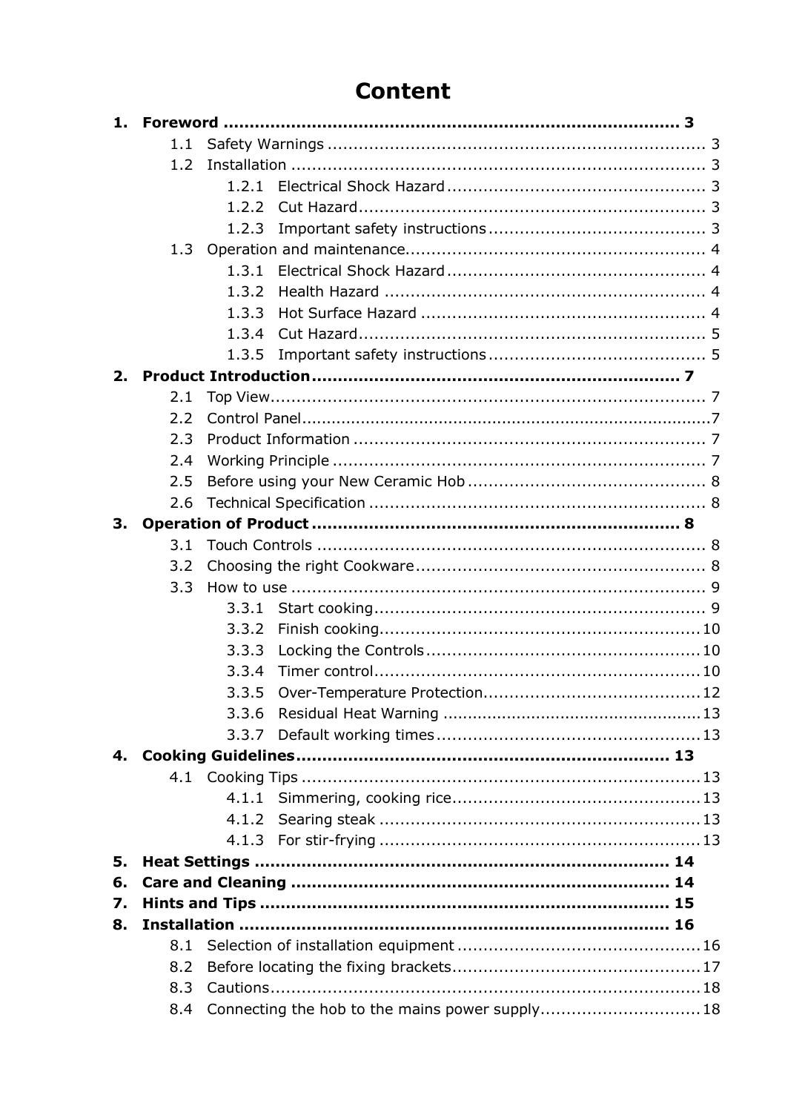## **Content**

|    | 1.1 |       |                                                 |  |
|----|-----|-------|-------------------------------------------------|--|
|    | 1.2 |       |                                                 |  |
|    |     | 1.2.1 |                                                 |  |
|    |     | 1.2.2 |                                                 |  |
|    |     | 1.2.3 |                                                 |  |
|    | 1.3 |       |                                                 |  |
|    |     | 1.3.1 |                                                 |  |
|    |     | 1.3.2 |                                                 |  |
|    |     | 1.3.3 |                                                 |  |
|    |     | 1.3.4 |                                                 |  |
|    |     | 1.3.5 |                                                 |  |
| 2. |     |       |                                                 |  |
|    | 2.1 |       |                                                 |  |
|    | 2.2 |       |                                                 |  |
|    | 2.3 |       |                                                 |  |
|    | 2.4 |       |                                                 |  |
|    | 2.5 |       |                                                 |  |
|    | 2.6 |       |                                                 |  |
| З. |     |       |                                                 |  |
|    | 3.1 |       |                                                 |  |
|    | 3.2 |       |                                                 |  |
|    | 3.3 |       |                                                 |  |
|    |     | 3.3.1 |                                                 |  |
|    |     | 3.3.2 |                                                 |  |
|    |     | 3.3.3 |                                                 |  |
|    |     | 3.3.4 |                                                 |  |
|    |     | 3.3.5 |                                                 |  |
|    |     |       |                                                 |  |
|    |     |       |                                                 |  |
|    |     |       |                                                 |  |
|    |     |       |                                                 |  |
|    |     | 4.1.1 |                                                 |  |
|    |     |       |                                                 |  |
|    |     |       |                                                 |  |
| 5. |     |       |                                                 |  |
| 6. |     |       |                                                 |  |
| 7. |     |       |                                                 |  |
| 8. |     |       |                                                 |  |
|    | 8.1 |       |                                                 |  |
|    | 8.2 |       |                                                 |  |
|    | 8.3 |       |                                                 |  |
|    | 8.4 |       | Connecting the hob to the mains power supply 18 |  |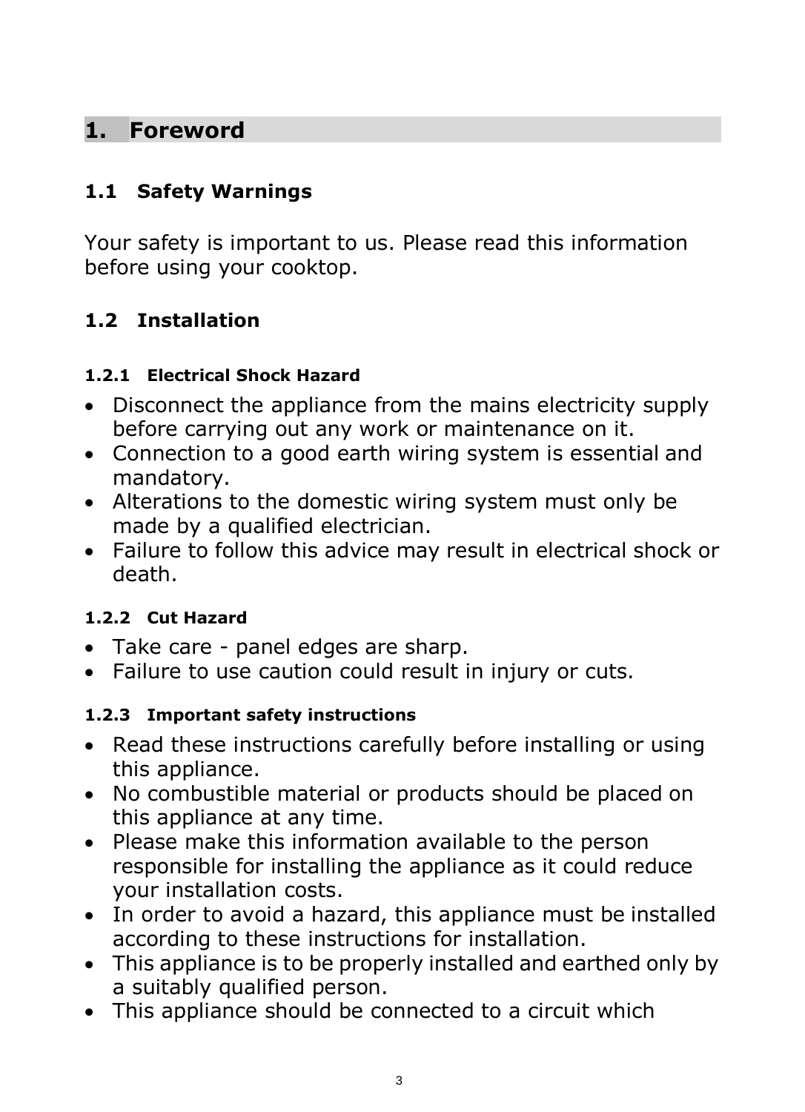## <span id="page-2-0"></span>**1. Foreword**

## <span id="page-2-1"></span>**1.1 Safety Warnings**

Your safety is important to us. Please read this information before using your cooktop.

## <span id="page-2-2"></span>**1.2 Installation**

### <span id="page-2-3"></span>**1.2.1 Electrical Shock Hazard**

- Disconnect the appliance from the mains electricity supply before carrying out any work or maintenance on it.
- Connection to a good earth wiring system is essential and mandatory.
- Alterations to the domestic wiring system must only be made by a qualified electrician.
- Failure to follow this advice may result in electrical shock or death.

### <span id="page-2-4"></span>**1.2.2 Cut Hazard**

- Take care panel edges are sharp.
- Failure to use caution could result in injury or cuts.

### <span id="page-2-5"></span>**1.2.3 Important safety instructions**

- Read these instructions carefully before installing or using this appliance.
- No combustible material or products should be placed on this appliance at any time.
- Please make this information available to the person responsible for installing the appliance as it could reduce your installation costs.
- In order to avoid a hazard, this appliance must be installed according to these instructions for installation.
- This appliance is to be properly installed and earthed only by a suitably qualified person.
- This appliance should be connected to a circuit which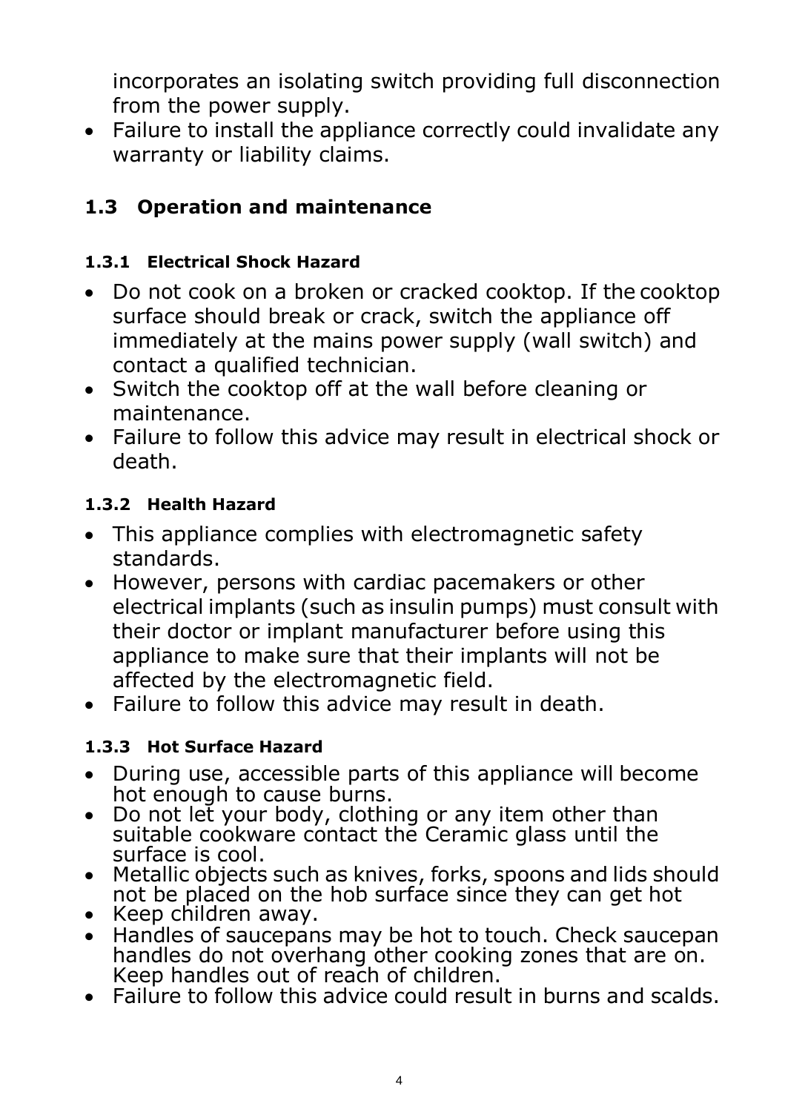incorporates an isolating switch providing full disconnection from the power supply.

• Failure to install the appliance correctly could invalidate any warranty or liability claims.

## <span id="page-3-0"></span>**1.3 Operation and maintenance**

## <span id="page-3-1"></span>**1.3.1 Electrical Shock Hazard**

- Do not cook on a broken or cracked cooktop. If the cooktop surface should break or crack, switch the appliance off immediately at the mains power supply (wall switch) and contact a qualified technician.
- Switch the cooktop off at the wall before cleaning or maintenance.
- Failure to follow this advice may result in electrical shock or death.

### <span id="page-3-2"></span>**1.3.2 Health Hazard**

- This appliance complies with electromagnetic safety standards.
- However, persons with cardiac pacemakers or other electrical implants (such as insulin pumps) must consult with their doctor or implant manufacturer before using this appliance to make sure that their implants will not be affected by the electromagnetic field.
- Failure to follow this advice may result in death.

### <span id="page-3-3"></span>**1.3.3 Hot Surface Hazard**

- During use, accessible parts of this appliance will become hot enough to cause burns.
- Do not let your body, clothing or any item other than suitable cookware contact the Ceramic glass until the surface is cool.
- Metallic objects such as knives, forks, spoons and lids should not be placed on the hob surface since they can get hot
- Keep children away.
- Handles of saucepans may be hot to touch. Check saucepan handles do not overhang other cooking zones that are on. Keep handles out of reach of children.
- Failure to follow this advice could result in burns and scalds.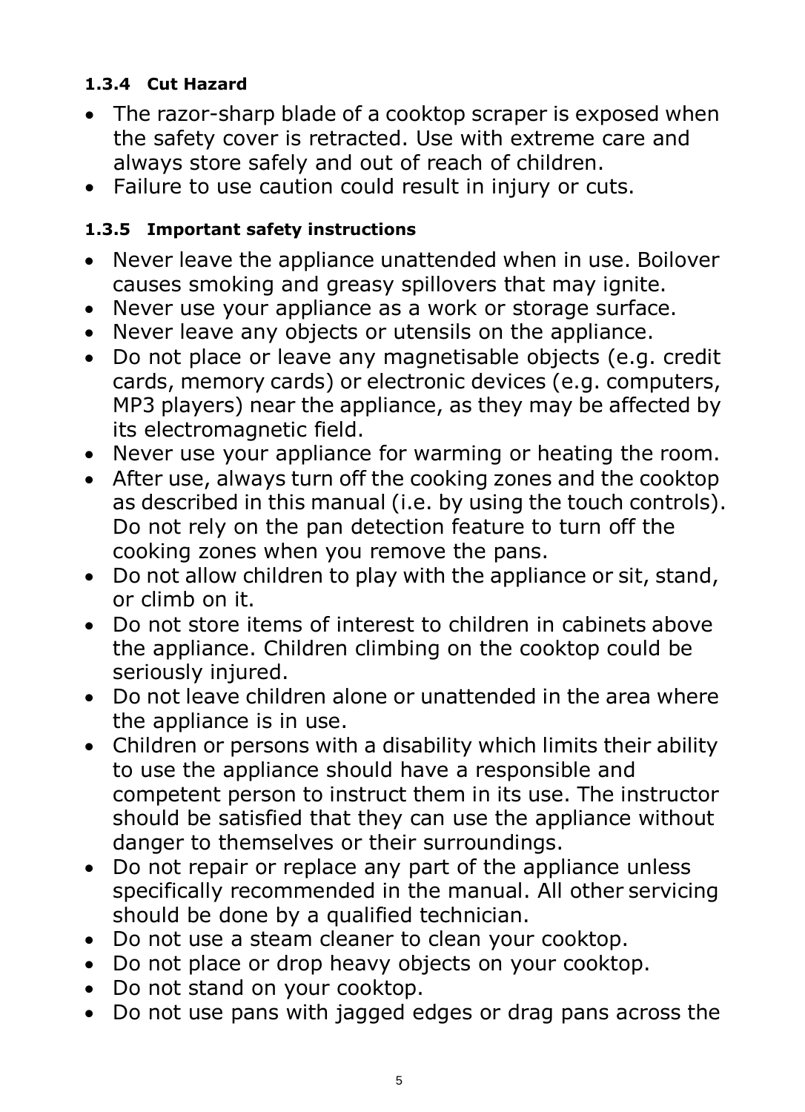### <span id="page-4-0"></span>**1.3.4 Cut Hazard**

- The razor-sharp blade of a cooktop scraper is exposed when the safety cover is retracted. Use with extreme care and always store safely and out of reach of children.
- Failure to use caution could result in injury or cuts.

### <span id="page-4-1"></span>**1.3.5 Important safety instructions**

- Never leave the appliance unattended when in use. Boilover causes smoking and greasy spillovers that may ignite.
- Never use your appliance as a work or storage surface.
- Never leave any objects or utensils on the appliance.
- Do not place or leave any magnetisable objects (e.g. credit cards, memory cards) or electronic devices (e.g. computers, MP3 players) near the appliance, as they may be affected by its electromagnetic field.
- Never use your appliance for warming or heating the room.
- After use, always turn off the cooking zones and the cooktop as described in this manual (i.e. by using the touch controls). Do not rely on the pan detection feature to turn off the cooking zones when you remove the pans.
- Do not allow children to play with the appliance or sit, stand, or climb on it.
- Do not store items of interest to children in cabinets above the appliance. Children climbing on the cooktop could be seriously injured.
- Do not leave children alone or unattended in the area where the appliance is in use.
- Children or persons with a disability which limits their ability to use the appliance should have a responsible and competent person to instruct them in its use. The instructor should be satisfied that they can use the appliance without danger to themselves or their surroundings.
- Do not repair or replace any part of the appliance unless specifically recommended in the manual. All other servicing should be done by a qualified technician.
- Do not use a steam cleaner to clean your cooktop.
- Do not place or drop heavy objects on your cooktop.
- Do not stand on your cooktop.
- Do not use pans with jagged edges or drag pans across the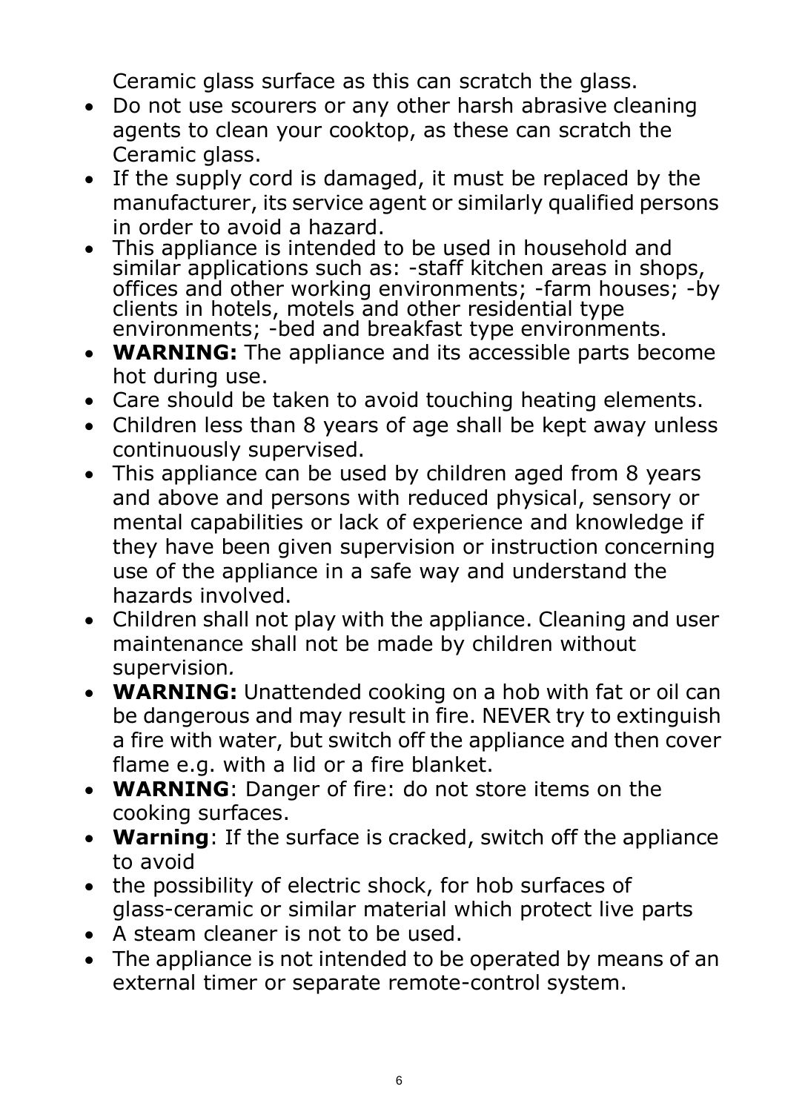Ceramic glass surface as this can scratch the glass.

- Do not use scourers or any other harsh abrasive cleaning agents to clean your cooktop, as these can scratch the Ceramic glass.
- If the supply cord is damaged, it must be replaced by the manufacturer, its service agent or similarly qualified persons in order to avoid a hazard.
- This appliance is intended to be used in household and similar applications such as: -staff kitchen areas in shops, offices and other working environments; -farm houses; -by clients in hotels, motels and other residential type environments; -bed and breakfast type environments.
- **WARNING:** The appliance and its accessible parts become hot during use.
- Care should be taken to avoid touching heating elements.
- Children less than 8 years of age shall be kept away unless continuously supervised.
- This appliance can be used by children aged from 8 years and above and persons with reduced physical, sensory or mental capabilities or lack of experience and knowledge if they have been given supervision or instruction concerning use of the appliance in a safe way and understand the hazards involved.
- Children shall not play with the appliance. Cleaning and user maintenance shall not be made by children without supervision*.*
- **WARNING:** Unattended cooking on a hob with fat or oil can be dangerous and may result in fire. NEVER try to extinguish a fire with water, but switch off the appliance and then cover flame e.g. with a lid or a fire blanket.
- **WARNING**: Danger of fire: do not store items on the cooking surfaces.
- **Warning**: If the surface is cracked, switch off the appliance to avoid
- the possibility of electric shock, for hob surfaces of glass-ceramic or similar material which protect live parts
- A steam cleaner is not to be used.
- The appliance is not intended to be operated by means of an external timer or separate remote-control system.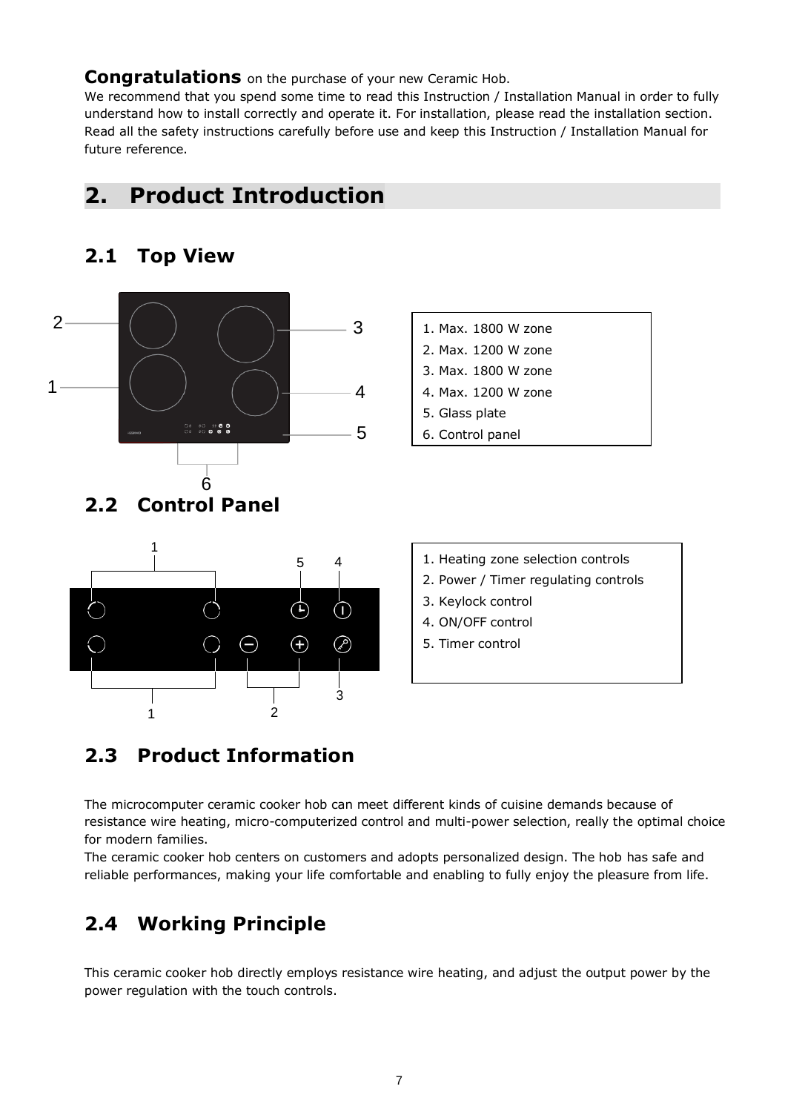#### **Congratulations** on the purchase of your new Ceramic Hob.

We recommend that you spend some time to read this Instruction / Installation Manual in order to fully understand how to install correctly and operate it. For installation, please read the installation section. Read all the safety instructions carefully before use and keep this Instruction / Installation Manual for future reference.

## <span id="page-6-0"></span>**2. Product Introduction**

### <span id="page-6-1"></span>**2.1 Top View**



<span id="page-6-2"></span>

|  | 1. Heating zone selection controls |  |
|--|------------------------------------|--|
|  |                                    |  |

- 2. Power / Timer regulating controls
- 3. Keylock control
- 4. ON/OFF control
- 5. Timer control

### <span id="page-6-3"></span>**2.3 Product Information**

The microcomputer ceramic cooker hob can meet different kinds of cuisine demands because of resistance wire heating, micro-computerized control and multi-power selection, really the optimal choice for modern families.

The ceramic cooker hob centers on customers and adopts personalized design. The hob has safe and reliable performances, making your life comfortable and enabling to fully enjoy the pleasure from life.

### <span id="page-6-4"></span>**2.4 Working Principle**

This ceramic cooker hob directly employs resistance wire heating, and adjust the output power by the power regulation with the touch controls.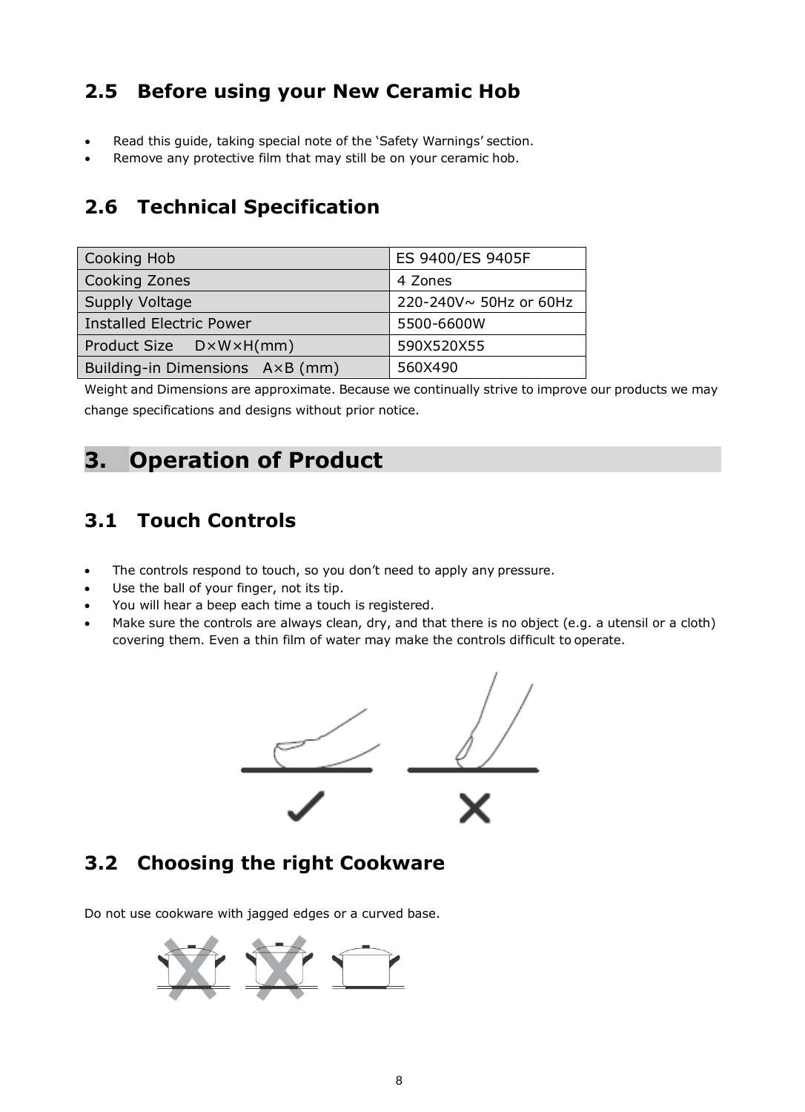### <span id="page-7-0"></span>**2.5 Before using your New Ceramic Hob**

- Read this guide, taking special note of the 'Safety Warnings' section.
- Remove any protective film that may still be on your ceramic hob.

## <span id="page-7-1"></span>**2.6 Technical Specification**

| Cooking Hob                     | ES 9400/ES 9405F       |  |  |
|---------------------------------|------------------------|--|--|
| Cooking Zones                   | 4 Zones                |  |  |
| <b>Supply Voltage</b>           | 220-240V~ 50Hz or 60Hz |  |  |
| <b>Installed Electric Power</b> | 5500-6600W             |  |  |
| Product Size D×W×H(mm)          | 590X520X55             |  |  |
| Building-in Dimensions A×B (mm) | 560X490                |  |  |

Weight and Dimensions are approximate. Because we continually strive to improve our products we may change specifications and designs without prior notice.

## <span id="page-7-2"></span>**3. Operation of Product**

### <span id="page-7-3"></span>**3.1 Touch Controls**

- The controls respond to touch, so you don't need to apply any pressure.
- Use the ball of your finger, not its tip.
- You will hear a beep each time a touch is registered.
- Make sure the controls are always clean, dry, and that there is no object (e.g. a utensil or a cloth) covering them. Even a thin film of water may make the controls difficult to operate.



### <span id="page-7-4"></span>**3.2 Choosing the right Cookware**

Do not use cookware with jagged edges or a curved base.

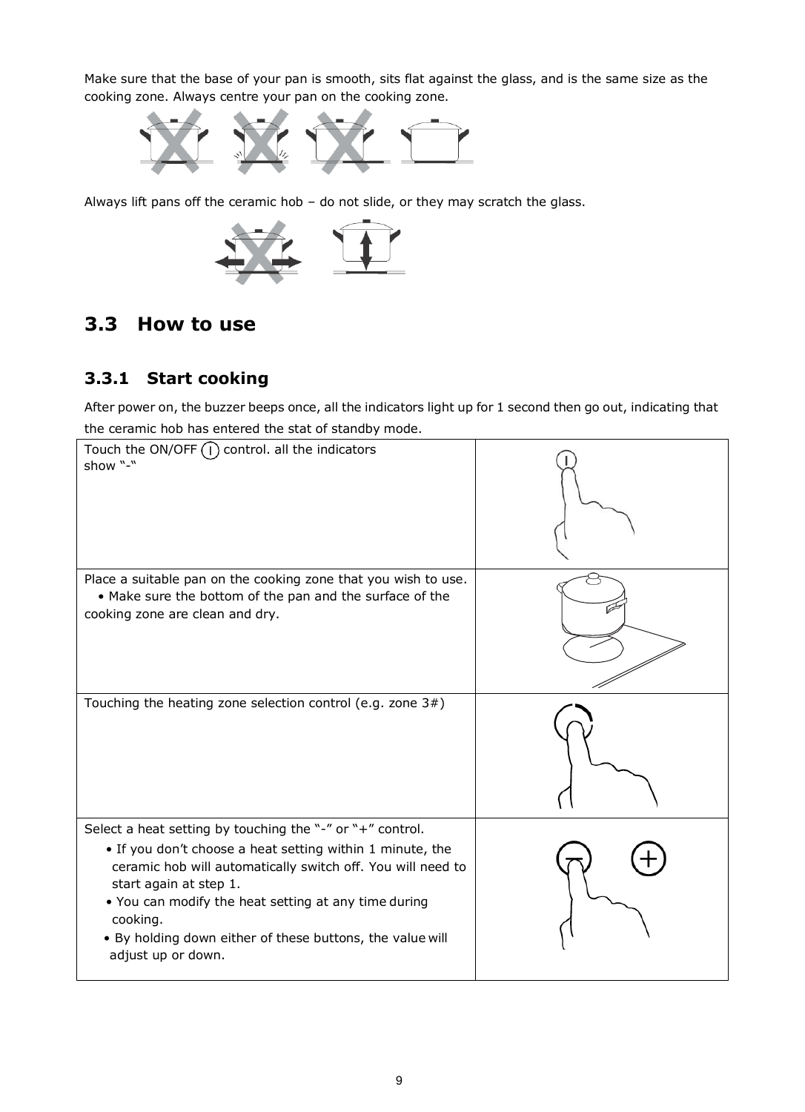Make sure that the base of your pan is smooth, sits flat against the glass, and is the same size as the cooking zone. Always centre your pan on the cooking zone.



Always lift pans off the ceramic hob – do not slide, or they may scratch the glass.



### <span id="page-8-0"></span>**3.3 How to use**

### <span id="page-8-1"></span>**3.3.1 Start cooking**

After power on, the buzzer beeps once, all the indicators light up for 1 second then go out, indicating that the ceramic hob has entered the stat of standby mode.

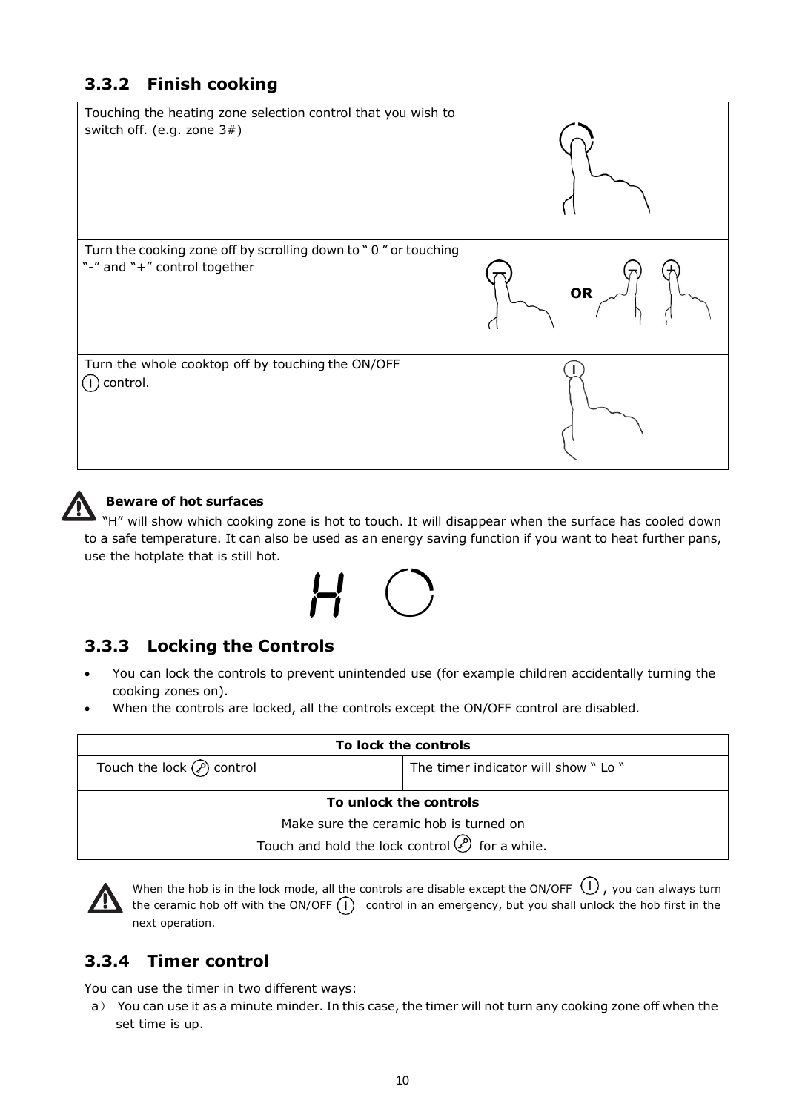### <span id="page-9-0"></span>**3.3.2 Finish cooking**





#### **Beware of hot surfaces**

"H" will show which cooking zone is hot to touch. It will disappear when the surface has cooled down to a safe temperature. It can also be used as an energy saving function if you want to heat further pans, use the hotplate that is still hot.

### <span id="page-9-1"></span>**3.3.3 Locking the Controls**

- You can lock the controls to prevent unintended use (for example children accidentally turning the cooking zones on).
- When the controls are locked, all the controls except the ON/OFF control are disabled.

Н

| To lock the controls                                   |                                     |  |  |
|--------------------------------------------------------|-------------------------------------|--|--|
| Touch the lock $\oslash$ control                       | The timer indicator will show "Lo " |  |  |
| To unlock the controls                                 |                                     |  |  |
| Make sure the ceramic hob is turned on                 |                                     |  |  |
| Touch and hold the lock control $\oslash$ for a while. |                                     |  |  |



When the hob is in the lock mode, all the controls are disable except the ON/OFF  $\mathbb U$ , you can always turn the ceramic hob off with the ON/OFF  $\Omega$  control in an emergency, but you shall unlock the hob first in the next operation.

### <span id="page-9-2"></span>**3.3.4 Timer control**

You can use the timer in two different ways:

a) You can use it as a minute minder. In this case, the timer will not turn any cooking zone off when the set time is up.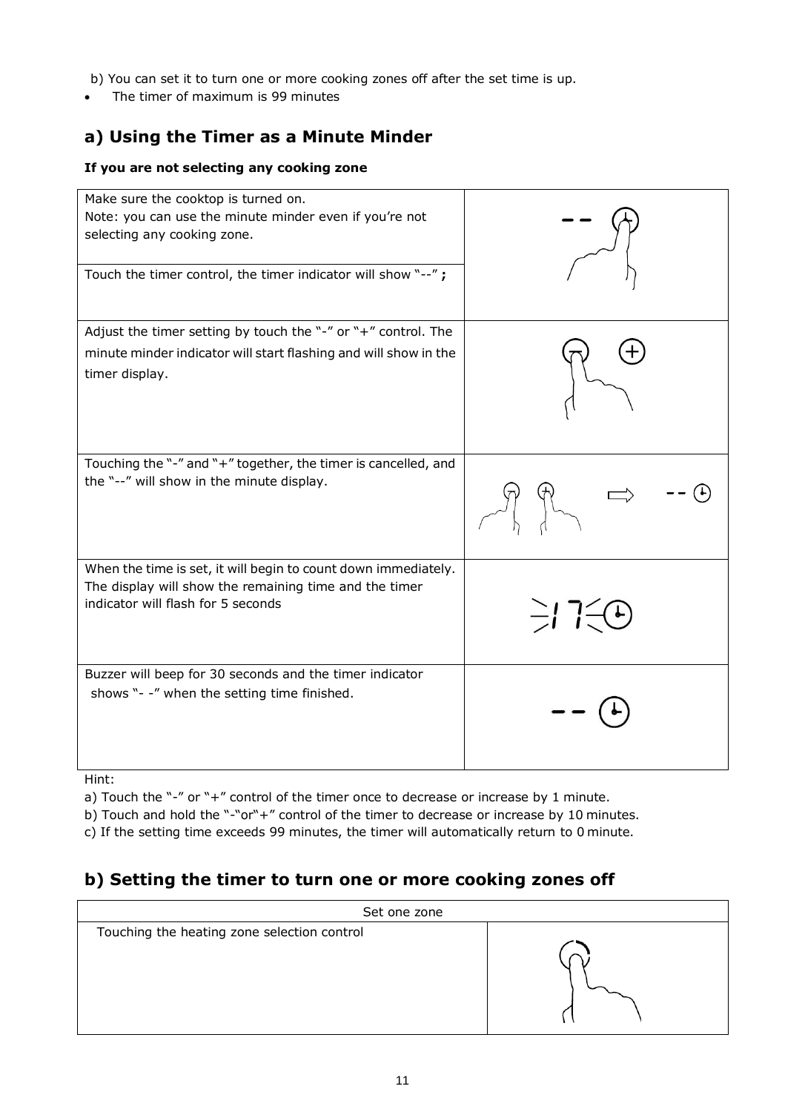b) You can set it to turn one or more cooking zones off after the set time is up.

• The timer of maximum is 99 minutes

### **a) Using the Timer as a Minute Minder**

#### **If you are not selecting any cooking zone**

| Make sure the cooktop is turned on.<br>Note: you can use the minute minder even if you're not<br>selecting any cooking zone.<br>Touch the timer control, the timer indicator will show "--"; |               |
|----------------------------------------------------------------------------------------------------------------------------------------------------------------------------------------------|---------------|
| Adjust the timer setting by touch the "-" or "+" control. The<br>minute minder indicator will start flashing and will show in the<br>timer display.                                          |               |
| Touching the "-" and "+" together, the timer is cancelled, and<br>the "--" will show in the minute display.                                                                                  |               |
| When the time is set, it will begin to count down immediately.<br>The display will show the remaining time and the timer<br>indicator will flash for 5 seconds                               | $\gtrsim$ 7:0 |
| Buzzer will beep for 30 seconds and the timer indicator<br>shows "- -" when the setting time finished.                                                                                       |               |

Hint:

a) Touch the "-" or "+" control of the timer once to decrease or increase by 1 minute.

b) Touch and hold the "-"or"+" control of the timer to decrease or increase by 10 minutes.

c) If the setting time exceeds 99 minutes, the timer will automatically return to 0 minute.

### **b) Setting the timer to turn one or more cooking zones off**

| Set one zone                                |  |
|---------------------------------------------|--|
| Touching the heating zone selection control |  |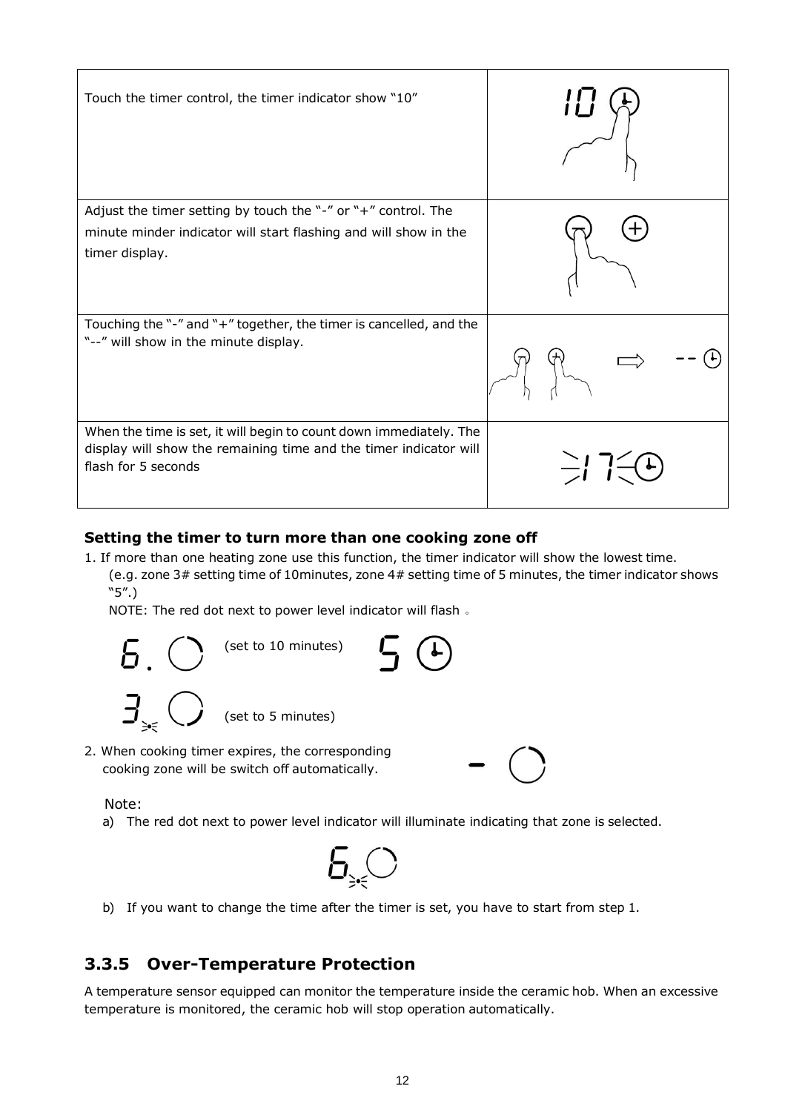| Touch the timer control, the timer indicator show "10"                                                                                  |                              |
|-----------------------------------------------------------------------------------------------------------------------------------------|------------------------------|
|                                                                                                                                         |                              |
| Adjust the timer setting by touch the "-" or "+" control. The                                                                           |                              |
| minute minder indicator will start flashing and will show in the<br>timer display.                                                      |                              |
|                                                                                                                                         |                              |
| Touching the "-" and "+" together, the timer is cancelled, and the<br>"--" will show in the minute display.                             |                              |
|                                                                                                                                         |                              |
| When the time is set, it will begin to count down immediately. The<br>display will show the remaining time and the timer indicator will |                              |
| flash for 5 seconds                                                                                                                     | $\bigoplus$<br>$\frac{1}{2}$ |
|                                                                                                                                         |                              |

#### **Setting the timer to turn more than one cooking zone off**

1. If more than one heating zone use this function, the timer indicator will show the lowest time. (e.g. zone 3# setting time of 10minutes, zone 4# setting time of 5 minutes, the timer indicator shows "5".)

NOTE: The red dot next to power level indicator will flash 。



Note:

a) The red dot next to power level indicator will illuminate indicating that zone is selected.



b) If you want to change the time after the timer is set, you have to start from step 1.

#### <span id="page-11-0"></span>**3.3.5 Over-Temperature Protection**

A temperature sensor equipped can monitor the temperature inside the ceramic hob. When an excessive temperature is monitored, the ceramic hob will stop operation automatically.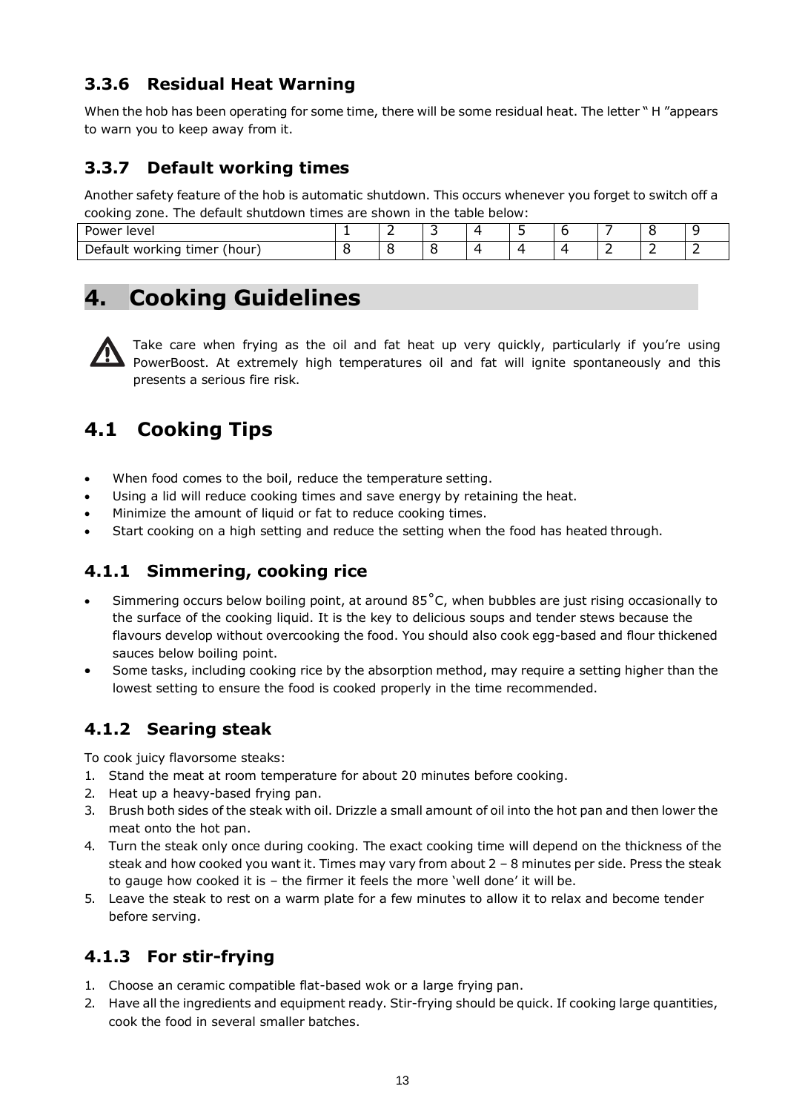### <span id="page-12-0"></span>**3.3.6 Residual Heat Warning**

When the hob has been operating for some time, there will be some residual heat. The letter " H "appears to warn you to keep away from it.

### <span id="page-12-1"></span>**3.3.7 Default working times**

Another safety feature of the hob is automatic shutdown. This occurs whenever you forget to switch off a cooking zone. The default shutdown times are shown in the table below:

| --                                     |  |   |  |  |  |
|----------------------------------------|--|---|--|--|--|
| Power<br>levei                         |  | - |  |  |  |
| Default<br>timer<br>working<br>, hour' |  |   |  |  |  |

## <span id="page-12-2"></span>**4. Cooking Guidelines**

Take care when frying as the oil and fat heat up very quickly, particularly if you're using PowerBoost. At extremely high temperatures oil and fat will ignite spontaneously and this presents a serious fire risk.

### <span id="page-12-3"></span>**4.1 Cooking Tips**

- When food comes to the boil, reduce the temperature setting.
- Using a lid will reduce cooking times and save energy by retaining the heat.
- Minimize the amount of liquid or fat to reduce cooking times.
- Start cooking on a high setting and reduce the setting when the food has heated through.

#### <span id="page-12-4"></span>**4.1.1 Simmering, cooking rice**

- Simmering occurs below boiling point, at around 85°C, when bubbles are just rising occasionally to the surface of the cooking liquid. It is the key to delicious soups and tender stews because the flavours develop without overcooking the food. You should also cook egg-based and flour thickened sauces below boiling point.
- Some tasks, including cooking rice by the absorption method, may require a setting higher than the lowest setting to ensure the food is cooked properly in the time recommended.

### <span id="page-12-5"></span>**4.1.2 Searing steak**

To cook juicy flavorsome steaks:

- 1. Stand the meat at room temperature for about 20 minutes before cooking.
- 2. Heat up a heavy-based frying pan.
- 3. Brush both sides of the steak with oil. Drizzle a small amount of oil into the hot pan and then lower the meat onto the hot pan.
- 4. Turn the steak only once during cooking. The exact cooking time will depend on the thickness of the steak and how cooked you want it. Times may vary from about 2 – 8 minutes per side. Press the steak to gauge how cooked it is – the firmer it feels the more 'well done' it will be.
- 5. Leave the steak to rest on a warm plate for a few minutes to allow it to relax and become tender before serving.

### <span id="page-12-6"></span>**4.1.3 For stir-frying**

- 1. Choose an ceramic compatible flat-based wok or a large frying pan.
- 2. Have all the ingredients and equipment ready. Stir-frying should be quick. If cooking large quantities, cook the food in several smaller batches.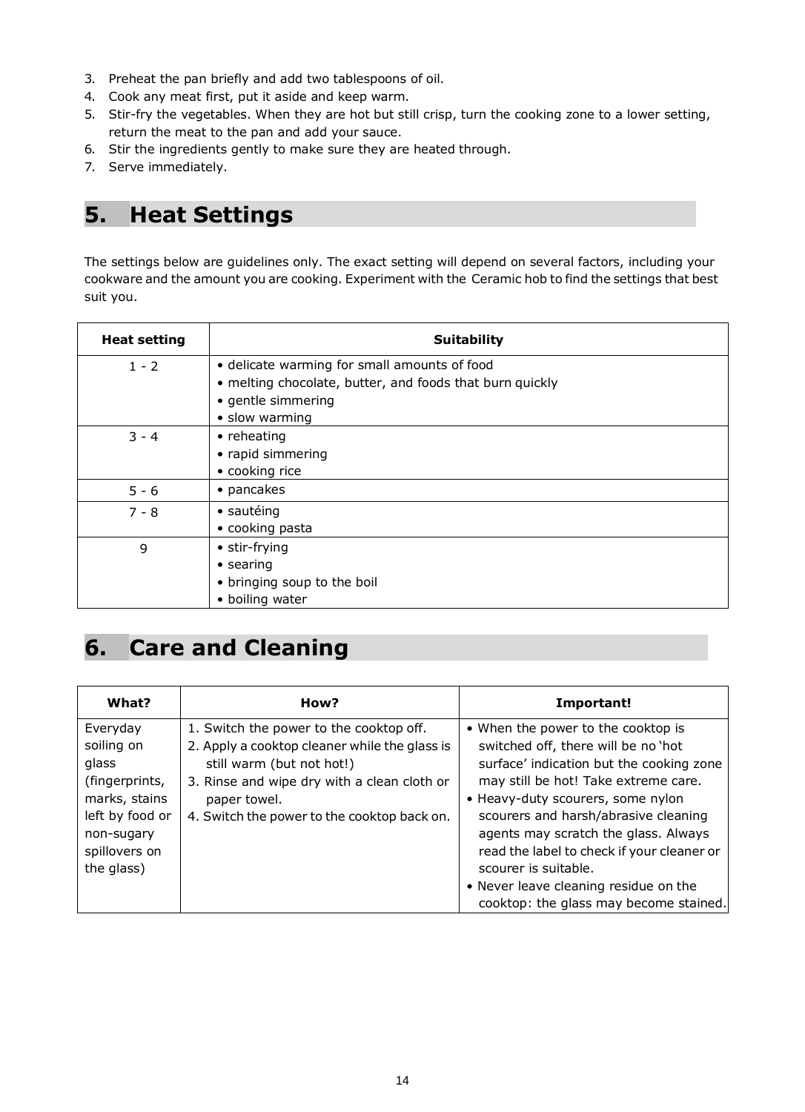- 3. Preheat the pan briefly and add two tablespoons of oil.
- 4. Cook any meat first, put it aside and keep warm.
- 5. Stir-fry the vegetables. When they are hot but still crisp, turn the cooking zone to a lower setting, return the meat to the pan and add your sauce.
- 6. Stir the ingredients gently to make sure they are heated through.
- 7. Serve immediately.

## <span id="page-13-0"></span>**5. Heat Settings**

The settings below are guidelines only. The exact setting will depend on several factors, including your cookware and the amount you are cooking. Experiment with the Ceramic hob to find the settings that best suit you.

| <b>Heat setting</b> | <b>Suitability</b>                                       |
|---------------------|----------------------------------------------------------|
| $1 - 2$             | • delicate warming for small amounts of food             |
|                     | • melting chocolate, butter, and foods that burn quickly |
|                     | • gentle simmering                                       |
|                     | • slow warming                                           |
| $3 - 4$             | • reheating                                              |
|                     | • rapid simmering                                        |
|                     | • cooking rice                                           |
| $5 - 6$             | • pancakes                                               |
| $7 - 8$             | · sautéing                                               |
|                     | • cooking pasta                                          |
| 9                   | • stir-frying                                            |
|                     | $\bullet$ searing                                        |
|                     | • bringing soup to the boil                              |
|                     | • boiling water                                          |

## <span id="page-13-1"></span>**6. Care and Cleaning**

| What?                                                                                                                              | How?                                                                                                                                                                                                                                | Important!                                                                                                                                                                                                                                                                                                                                                                                                                                  |
|------------------------------------------------------------------------------------------------------------------------------------|-------------------------------------------------------------------------------------------------------------------------------------------------------------------------------------------------------------------------------------|---------------------------------------------------------------------------------------------------------------------------------------------------------------------------------------------------------------------------------------------------------------------------------------------------------------------------------------------------------------------------------------------------------------------------------------------|
| Everyday<br>soiling on<br>glass<br>(fingerprints,<br>marks, stains<br>left by food or<br>non-sugary<br>spillovers on<br>the glass) | 1. Switch the power to the cooktop off.<br>2. Apply a cooktop cleaner while the glass is<br>still warm (but not hot!)<br>3. Rinse and wipe dry with a clean cloth or<br>paper towel.<br>4. Switch the power to the cooktop back on. | • When the power to the cooktop is<br>switched off, there will be no 'hot<br>surface' indication but the cooking zone<br>may still be hot! Take extreme care.<br>• Heavy-duty scourers, some nylon<br>scourers and harsh/abrasive cleaning<br>agents may scratch the glass. Always<br>read the label to check if your cleaner or<br>scourer is suitable.<br>• Never leave cleaning residue on the<br>cooktop: the glass may become stained. |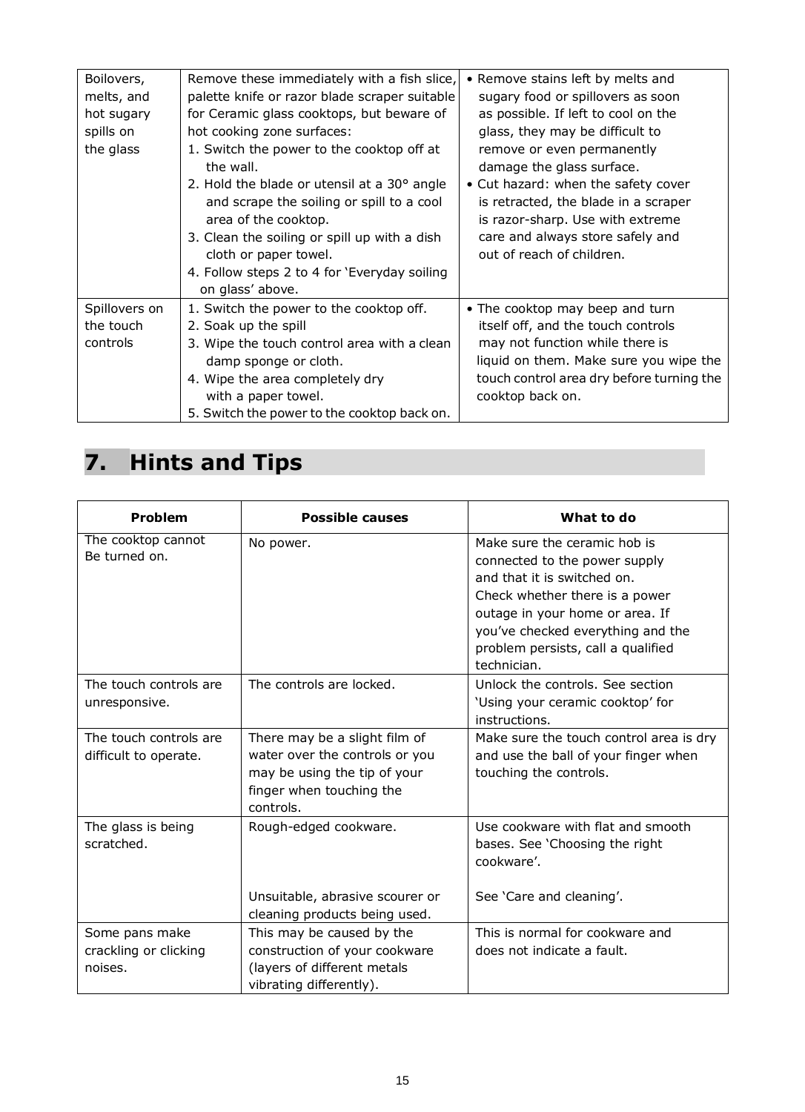| Boilovers,<br>melts, and<br>hot sugary<br>spills on<br>the glass | Remove these immediately with a fish slice,<br>palette knife or razor blade scraper suitable<br>for Ceramic glass cooktops, but beware of<br>hot cooking zone surfaces:<br>1. Switch the power to the cooktop off at<br>the wall.<br>2. Hold the blade or utensil at a 30° angle<br>and scrape the soiling or spill to a cool<br>area of the cooktop.<br>3. Clean the soiling or spill up with a dish<br>cloth or paper towel.<br>4. Follow steps 2 to 4 for 'Everyday soiling<br>on glass' above. | • Remove stains left by melts and<br>sugary food or spillovers as soon<br>as possible. If left to cool on the<br>glass, they may be difficult to<br>remove or even permanently<br>damage the glass surface.<br>• Cut hazard: when the safety cover<br>is retracted, the blade in a scraper<br>is razor-sharp. Use with extreme<br>care and always store safely and<br>out of reach of children. |
|------------------------------------------------------------------|----------------------------------------------------------------------------------------------------------------------------------------------------------------------------------------------------------------------------------------------------------------------------------------------------------------------------------------------------------------------------------------------------------------------------------------------------------------------------------------------------|-------------------------------------------------------------------------------------------------------------------------------------------------------------------------------------------------------------------------------------------------------------------------------------------------------------------------------------------------------------------------------------------------|
| Spillovers on<br>the touch<br>controls                           | 1. Switch the power to the cooktop off.<br>2. Soak up the spill<br>3. Wipe the touch control area with a clean<br>damp sponge or cloth.<br>4. Wipe the area completely dry<br>with a paper towel.<br>5. Switch the power to the cooktop back on.                                                                                                                                                                                                                                                   | • The cooktop may beep and turn<br>itself off, and the touch controls<br>may not function while there is<br>liquid on them. Make sure you wipe the<br>touch control area dry before turning the<br>cooktop back on.                                                                                                                                                                             |

# <span id="page-14-0"></span>**7. Hints and Tips**

| Problem                                            | <b>Possible causes</b>                                                                                                                   | What to do                                                                                                                                                                                                                                                  |  |  |
|----------------------------------------------------|------------------------------------------------------------------------------------------------------------------------------------------|-------------------------------------------------------------------------------------------------------------------------------------------------------------------------------------------------------------------------------------------------------------|--|--|
| The cooktop cannot<br>Be turned on.                | No power.                                                                                                                                | Make sure the ceramic hob is<br>connected to the power supply<br>and that it is switched on.<br>Check whether there is a power<br>outage in your home or area. If<br>you've checked everything and the<br>problem persists, call a qualified<br>technician. |  |  |
| The touch controls are<br>unresponsive.            | The controls are locked.                                                                                                                 | Unlock the controls. See section<br>'Using your ceramic cooktop' for<br>instructions.                                                                                                                                                                       |  |  |
| The touch controls are<br>difficult to operate.    | There may be a slight film of<br>water over the controls or you<br>may be using the tip of your<br>finger when touching the<br>controls. | Make sure the touch control area is dry<br>and use the ball of your finger when<br>touching the controls.                                                                                                                                                   |  |  |
| The glass is being<br>scratched.                   | Rough-edged cookware.<br>Unsuitable, abrasive scourer or                                                                                 | Use cookware with flat and smooth<br>bases. See 'Choosing the right<br>cookware'.<br>See 'Care and cleaning'.                                                                                                                                               |  |  |
|                                                    | cleaning products being used.                                                                                                            |                                                                                                                                                                                                                                                             |  |  |
| Some pans make<br>crackling or clicking<br>noises. | This may be caused by the<br>construction of your cookware<br>(layers of different metals<br>vibrating differently).                     | This is normal for cookware and<br>does not indicate a fault.                                                                                                                                                                                               |  |  |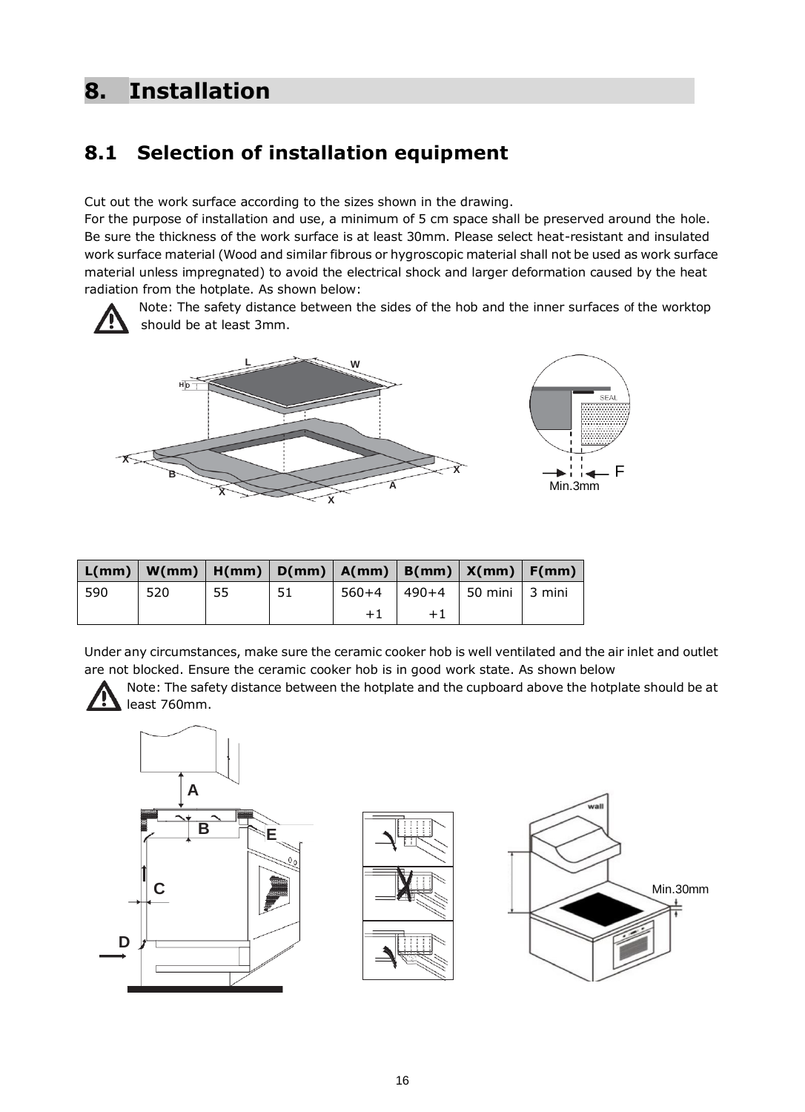## <span id="page-15-0"></span>**8. Installation**

### <span id="page-15-1"></span>**8.1 Selection of installation equipment**

Cut out the work surface according to the sizes shown in the drawing.

For the purpose of installation and use, a minimum of 5 cm space shall be preserved around the hole. Be sure the thickness of the work surface is at least 30mm. Please select heat-resistant and insulated work surface material (Wood and similar fibrous or hygroscopic material shall not be used as work surface material unless impregnated) to avoid the electrical shock and larger deformation caused by the heat radiation from the hotplate. As shown below:



Note: The safety distance between the sides of the hob and the inner surfaces of the worktop should be at least 3mm.



|     | $\mid$ L(mm) $\mid$ W(mm) $\mid$ H(mm) $\mid$ D(mm) $\mid$ A(mm) $\mid$ B(mm) $\mid$ X(mm) $\mid$ F(mm) |    |    |                                    |  |
|-----|---------------------------------------------------------------------------------------------------------|----|----|------------------------------------|--|
| 590 | 520                                                                                                     | 55 | 51 | $560+4$   490+4   50 mini   3 mini |  |
|     |                                                                                                         |    |    | $+1$                               |  |

Under any circumstances, make sure the ceramic cooker hob is well ventilated and the air inlet and outlet are not blocked. Ensure the ceramic cooker hob is in good work state. As shown below

Note: The safety distance between the hotplate and the cupboard above the hotplate should be at least 760mm.





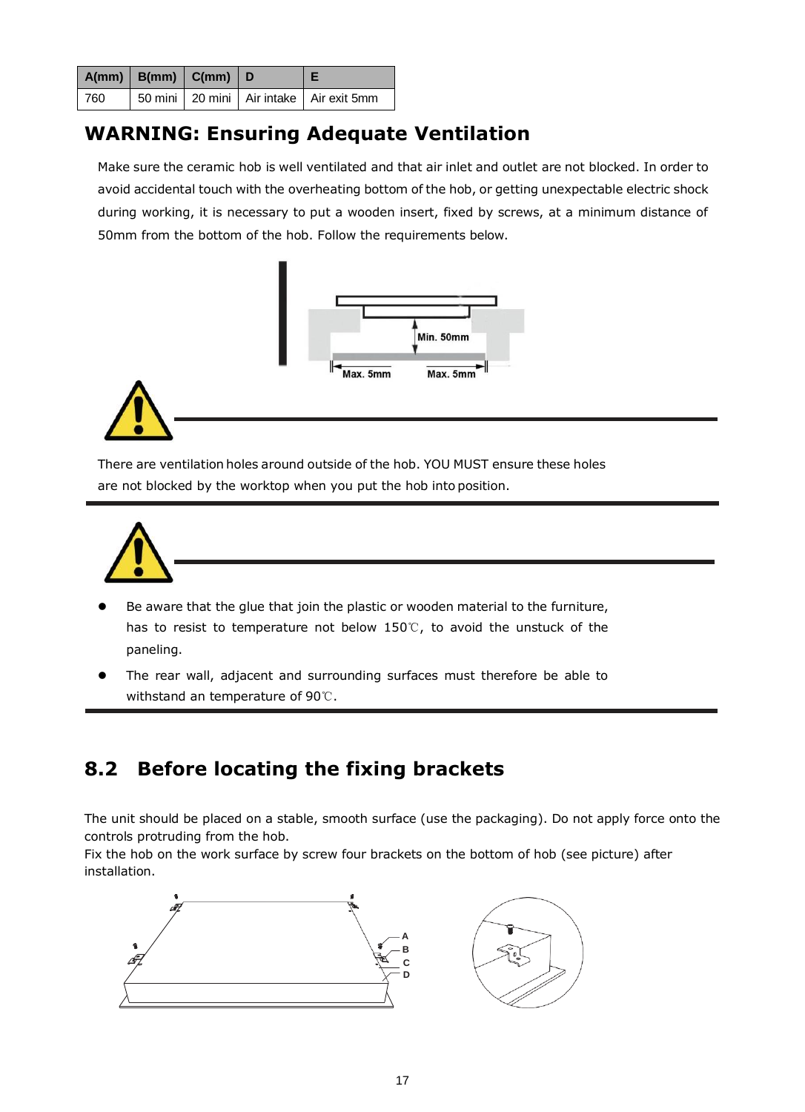|     | $A(mm)$ $B(mm)$ $C(mm)$ $D_1$ |  |                                               |
|-----|-------------------------------|--|-----------------------------------------------|
| 760 |                               |  | 50 mini   20 mini   Air intake   Air exit 5mm |

### **WARNING: Ensuring Adequate Ventilation**

Make sure the ceramic hob is well ventilated and that air inlet and outlet are not blocked. In order to avoid accidental touch with the overheating bottom of the hob, or getting unexpectable electric shock during working, it is necessary to put a wooden insert, fixed by screws, at a minimum distance of 50mm from the bottom of the hob. Follow the requirements below.



There are ventilation holes around outside of the hob. YOU MUST ensure these holes are not blocked by the worktop when you put the hob into position.



- Be aware that the glue that join the plastic or wooden material to the furniture, has to resist to temperature not below 150℃, to avoid the unstuck of the paneling.
- The rear wall, adjacent and surrounding surfaces must therefore be able to withstand an temperature of 90℃.

## <span id="page-16-0"></span>**8.2 Before locating the fixing brackets**

The unit should be placed on a stable, smooth surface (use the packaging). Do not apply force onto the controls protruding from the hob.

Fix the hob on the work surface by screw four brackets on the bottom of hob (see picture) after installation.



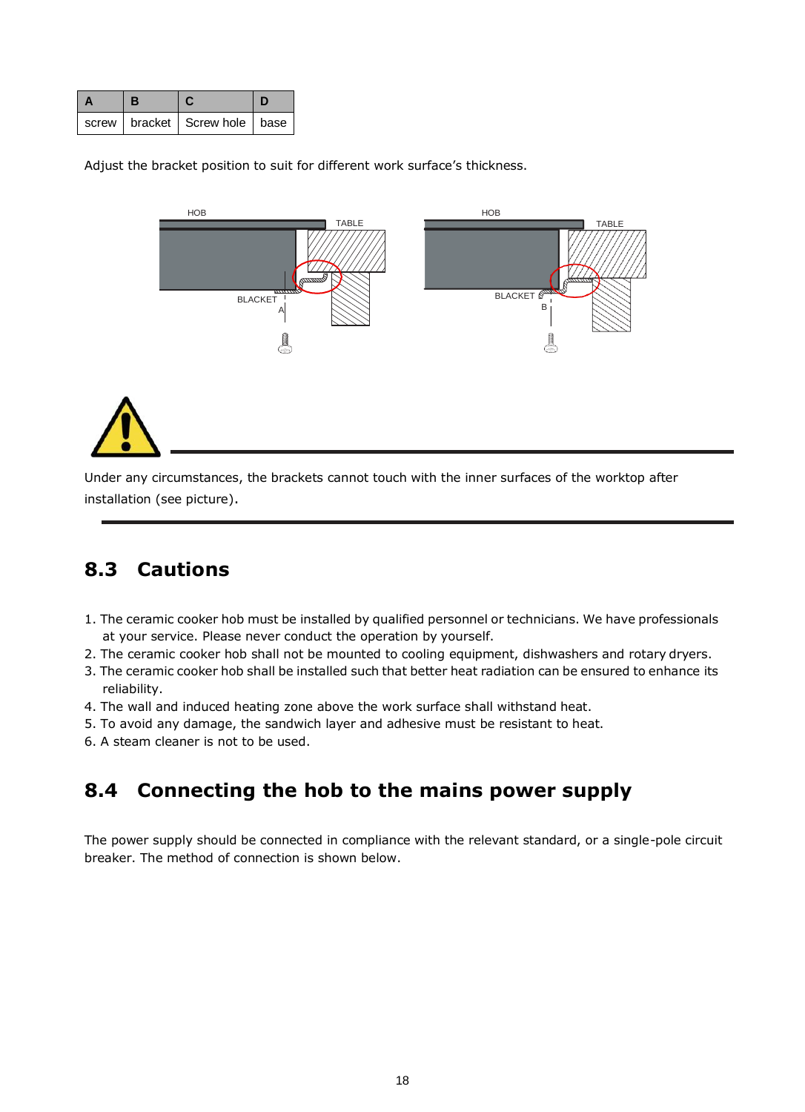| В |                                     |  |
|---|-------------------------------------|--|
|   | screw   bracket   Screw hole   base |  |

Adjust the bracket position to suit for different work surface's thickness.



Under any circumstances, the brackets cannot touch with the inner surfaces of the worktop after installation (see picture).

### <span id="page-17-0"></span>**8.3 Cautions**

- 1. The ceramic cooker hob must be installed by qualified personnel or technicians. We have professionals at your service. Please never conduct the operation by yourself.
- 2. The ceramic cooker hob shall not be mounted to cooling equipment, dishwashers and rotary dryers.
- 3. The ceramic cooker hob shall be installed such that better heat radiation can be ensured to enhance its reliability.
- 4. The wall and induced heating zone above the work surface shall withstand heat.
- 5. To avoid any damage, the sandwich layer and adhesive must be resistant to heat.
- 6. A steam cleaner is not to be used.

### <span id="page-17-1"></span>**8.4 Connecting the hob to the mains power supply**

The power supply should be connected in compliance with the relevant standard, or a single-pole circuit breaker. The method of connection is shown below.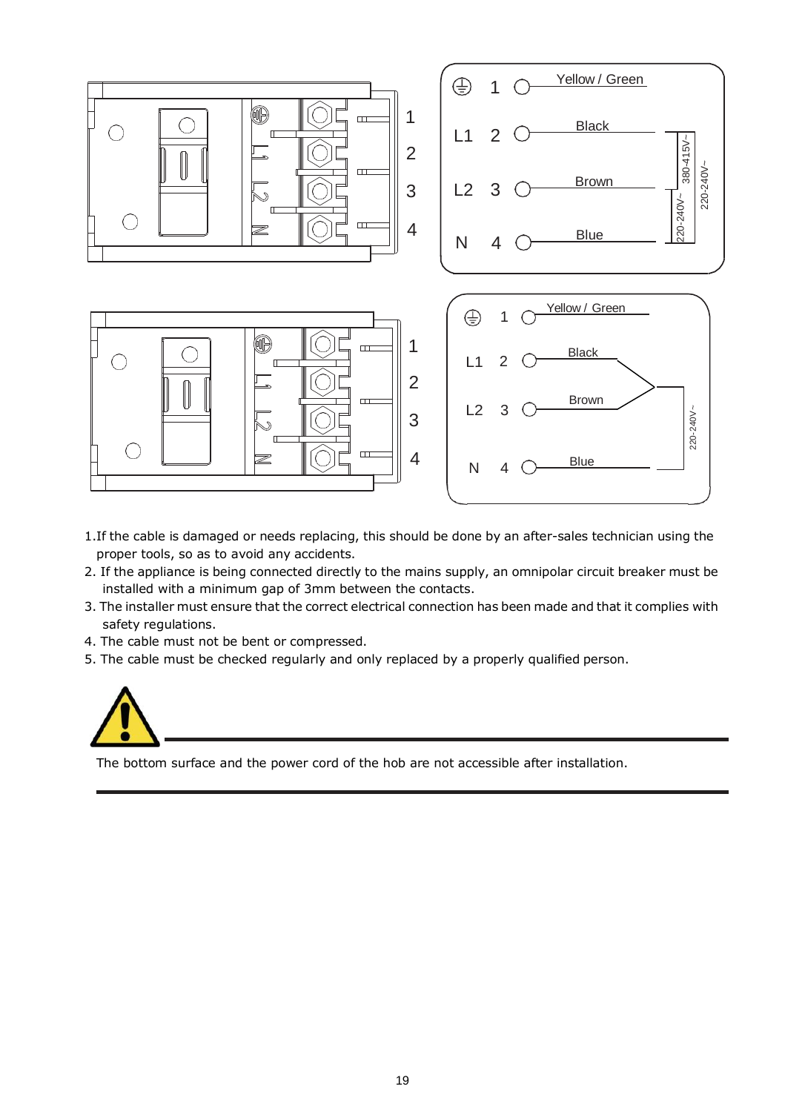

- 1.If the cable is damaged or needs replacing, this should be done by an after-sales technician using the proper tools, so as to avoid any accidents.
- 2. If the appliance is being connected directly to the mains supply, an omnipolar circuit breaker must be installed with a minimum gap of 3mm between the contacts.
- 3. The installer must ensure that the correct electrical connection has been made and that it complies with safety regulations.
- 4. The cable must not be bent or compressed.
- 5. The cable must be checked regularly and only replaced by a properly qualified person.



The bottom surface and the power cord of the hob are not accessible after installation.